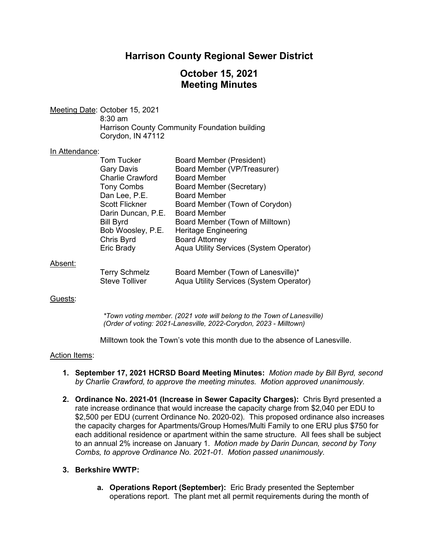# **Harrison County Regional Sewer District**

# **October 15, 2021 Meeting Minutes**

Meeting Date: October 15, 2021 8:30 am Harrison County Community Foundation building Corydon, IN 47112

#### In Attendance:

| <b>Tom Tucker</b><br><b>Gary Davis</b><br><b>Charlie Crawford</b><br><b>Tony Combs</b><br>Dan Lee, P.E.<br><b>Scott Flickner</b><br>Darin Duncan, P.E.<br><b>Bill Byrd</b> | Board Member (President)<br>Board Member (VP/Treasurer)<br><b>Board Member</b><br><b>Board Member (Secretary)</b><br><b>Board Member</b><br>Board Member (Town of Corydon)<br><b>Board Member</b><br>Board Member (Town of Milltown) |
|----------------------------------------------------------------------------------------------------------------------------------------------------------------------------|--------------------------------------------------------------------------------------------------------------------------------------------------------------------------------------------------------------------------------------|
| Bob Woosley, P.E.<br>Chris Byrd<br>Eric Brady                                                                                                                              | <b>Heritage Engineering</b><br><b>Board Attorney</b><br>Aqua Utility Services (System Operator)                                                                                                                                      |
| Terry Schmelz                                                                                                                                                              | Board Member (Town of Lanesville)*                                                                                                                                                                                                   |

#### Absent:

| <b>Terry Schmelz</b> | Board Member (Town of Lanesville)*      |
|----------------------|-----------------------------------------|
| Steve Tolliver       | Aqua Utility Services (System Operator) |

## Guests:

*\*Town voting member. (2021 vote will belong to the Town of Lanesville) (Order of voting: 2021-Lanesville, 2022-Corydon, 2023 - Milltown)*

Milltown took the Town's vote this month due to the absence of Lanesville.

## Action Items:

- **1. September 17, 2021 HCRSD Board Meeting Minutes:** *Motion made by Bill Byrd, second by Charlie Crawford, to approve the meeting minutes. Motion approved unanimously.*
- **2. Ordinance No. 2021-01 (Increase in Sewer Capacity Charges):** Chris Byrd presented a rate increase ordinance that would increase the capacity charge from \$2,040 per EDU to \$2,500 per EDU (current Ordinance No. 2020-02). This proposed ordinance also increases the capacity charges for Apartments/Group Homes/Multi Family to one ERU plus \$750 for each additional residence or apartment within the same structure. All fees shall be subject to an annual 2% increase on January 1. *Motion made by Darin Duncan, second by Tony Combs, to approve Ordinance No. 2021-01. Motion passed unanimously.*

## **3. Berkshire WWTP:**

**a. Operations Report (September):** Eric Brady presented the September operations report. The plant met all permit requirements during the month of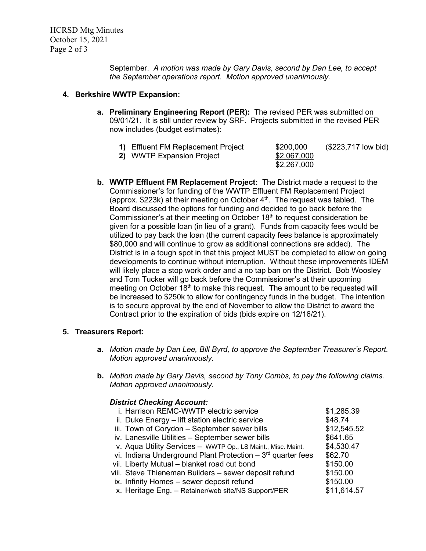September. *A motion was made by Gary Davis, second by Dan Lee, to accept the September operations report. Motion approved unanimously.*

## **4. Berkshire WWTP Expansion:**

**a. Preliminary Engineering Report (PER):** The revised PER was submitted on 09/01/21. It is still under review by SRF. Projects submitted in the revised PER now includes (budget estimates):

| 1) Effluent FM Replacement Project | \$200,000   | (\$223,717 low bid) |
|------------------------------------|-------------|---------------------|
| 2) WWTP Expansion Project          | \$2,067,000 |                     |
|                                    | \$2,267,000 |                     |

**b. WWTP Effluent FM Replacement Project:** The District made a request to the Commissioner's for funding of the WWTP Effluent FM Replacement Project (approx. \$223k) at their meeting on October  $4<sup>th</sup>$ . The request was tabled. The Board discussed the options for funding and decided to go back before the Commissioner's at their meeting on October 18<sup>th</sup> to request consideration be given for a possible loan (in lieu of a grant). Funds from capacity fees would be utilized to pay back the loan (the current capacity fees balance is approximately \$80,000 and will continue to grow as additional connections are added). The District is in a tough spot in that this project MUST be completed to allow on going developments to continue without interruption. Without these improvements IDEM will likely place a stop work order and a no tap ban on the District. Bob Woosley and Tom Tucker will go back before the Commissioner's at their upcoming meeting on October  $18<sup>th</sup>$  to make this request. The amount to be requested will be increased to \$250k to allow for contingency funds in the budget. The intention is to secure approval by the end of November to allow the District to award the Contract prior to the expiration of bids (bids expire on 12/16/21).

## **5. Treasurers Report:**

- **a.** *Motion made by Dan Lee, Bill Byrd, to approve the September Treasurer's Report. Motion approved unanimously.*
- **b.** *Motion made by Gary Davis, second by Tony Combs, to pay the following claims. Motion approved unanimously.*

## *District Checking Account:*

| i. Harrison REMC-WWTP electric service                          | \$1,285.39  |
|-----------------------------------------------------------------|-------------|
| ii. Duke Energy - lift station electric service                 | \$48.74     |
| iii. Town of Corydon - September sewer bills                    | \$12,545.52 |
| iv. Lanesville Utilities - September sewer bills                | \$641.65    |
| v. Aqua Utility Services - WWTP Op., LS Maint., Misc. Maint.    | \$4,530.47  |
| vi. Indiana Underground Plant Protection $-3^{rd}$ quarter fees | \$62.70     |
| vii. Liberty Mutual - blanket road cut bond                     | \$150.00    |
| viii. Steve Thieneman Builders - sewer deposit refund           | \$150.00    |
| ix. Infinity Homes - sewer deposit refund                       | \$150.00    |
| x. Heritage Eng. - Retainer/web site/NS Support/PER             | \$11,614.57 |